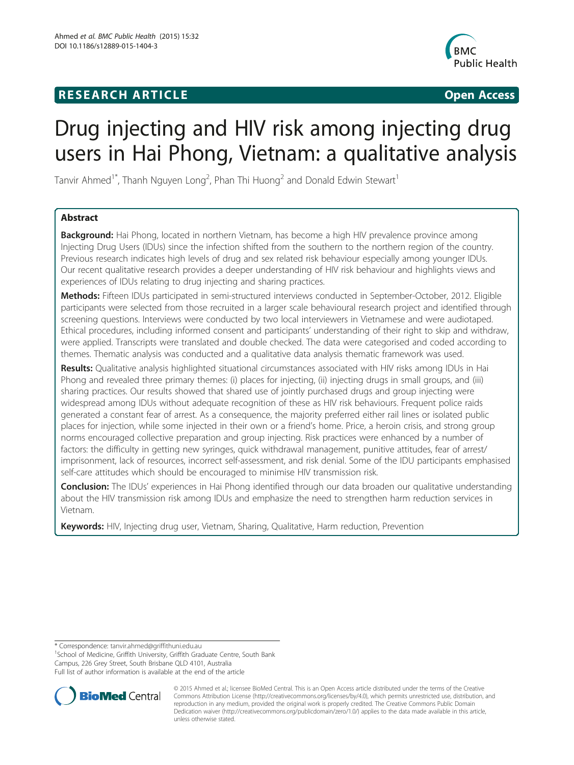# **RESEARCH ARTICLE Example 2014 12:30 The SEAR CHIPS 2014 12:30 The Open Access**



# Drug injecting and HIV risk among injecting drug users in Hai Phong, Vietnam: a qualitative analysis

Tanvir Ahmed<sup>1\*</sup>, Thanh Nguyen Long<sup>2</sup>, Phan Thi Huong<sup>2</sup> and Donald Edwin Stewart<sup>1</sup>

# Abstract

Background: Hai Phong, located in northern Vietnam, has become a high HIV prevalence province among Injecting Drug Users (IDUs) since the infection shifted from the southern to the northern region of the country. Previous research indicates high levels of drug and sex related risk behaviour especially among younger IDUs. Our recent qualitative research provides a deeper understanding of HIV risk behaviour and highlights views and experiences of IDUs relating to drug injecting and sharing practices.

Methods: Fifteen IDUs participated in semi-structured interviews conducted in September-October, 2012. Eligible participants were selected from those recruited in a larger scale behavioural research project and identified through screening questions. Interviews were conducted by two local interviewers in Vietnamese and were audiotaped. Ethical procedures, including informed consent and participants' understanding of their right to skip and withdraw, were applied. Transcripts were translated and double checked. The data were categorised and coded according to themes. Thematic analysis was conducted and a qualitative data analysis thematic framework was used.

Results: Qualitative analysis highlighted situational circumstances associated with HIV risks among IDUs in Hai Phong and revealed three primary themes: (i) places for injecting, (ii) injecting drugs in small groups, and (iii) sharing practices. Our results showed that shared use of jointly purchased drugs and group injecting were widespread among IDUs without adequate recognition of these as HIV risk behaviours. Frequent police raids generated a constant fear of arrest. As a consequence, the majority preferred either rail lines or isolated public places for injection, while some injected in their own or a friend's home. Price, a heroin crisis, and strong group norms encouraged collective preparation and group injecting. Risk practices were enhanced by a number of factors: the difficulty in getting new syringes, quick withdrawal management, punitive attitudes, fear of arrest/ imprisonment, lack of resources, incorrect self-assessment, and risk denial. Some of the IDU participants emphasised self-care attitudes which should be encouraged to minimise HIV transmission risk.

Conclusion: The IDUs' experiences in Hai Phong identified through our data broaden our qualitative understanding about the HIV transmission risk among IDUs and emphasize the need to strengthen harm reduction services in Vietnam.

Keywords: HIV, Injecting drug user, Vietnam, Sharing, Qualitative, Harm reduction, Prevention

\* Correspondence: [tanvir.ahmed@griffithuni.edu.au](mailto:tanvir.ahmed@griffithuni.edu.au) <sup>1</sup>

<sup>1</sup>School of Medicine, Griffith University, Griffith Graduate Centre, South Bank Campus, 226 Grey Street, South Brisbane QLD 4101, Australia

Full list of author information is available at the end of the article



© 2015 Ahmed et al.; licensee BioMed Central. This is an Open Access article distributed under the terms of the Creative Commons Attribution License [\(http://creativecommons.org/licenses/by/4.0\)](http://creativecommons.org/licenses/by/4.0), which permits unrestricted use, distribution, and reproduction in any medium, provided the original work is properly credited. The Creative Commons Public Domain Dedication waiver [\(http://creativecommons.org/publicdomain/zero/1.0/](http://creativecommons.org/publicdomain/zero/1.0/)) applies to the data made available in this article, unless otherwise stated.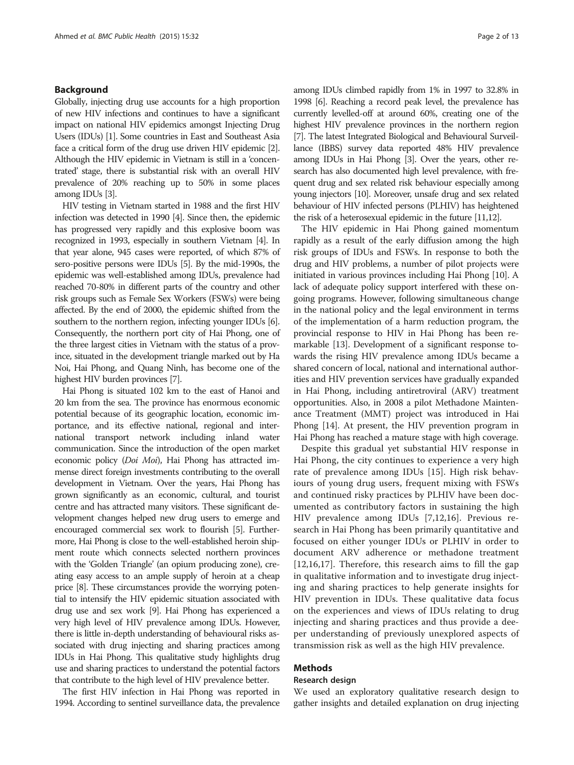#### Background

Globally, injecting drug use accounts for a high proportion of new HIV infections and continues to have a significant impact on national HIV epidemics amongst Injecting Drug Users (IDUs) [[1](#page-11-0)]. Some countries in East and Southeast Asia face a critical form of the drug use driven HIV epidemic [\[2](#page-11-0)]. Although the HIV epidemic in Vietnam is still in a 'concentrated' stage, there is substantial risk with an overall HIV prevalence of 20% reaching up to 50% in some places among IDUs [[3](#page-11-0)].

HIV testing in Vietnam started in 1988 and the first HIV infection was detected in 1990 [\[4](#page-11-0)]. Since then, the epidemic has progressed very rapidly and this explosive boom was recognized in 1993, especially in southern Vietnam [[4](#page-11-0)]. In that year alone, 945 cases were reported, of which 87% of sero-positive persons were IDUs [\[5\]](#page-11-0). By the mid-1990s, the epidemic was well-established among IDUs, prevalence had reached 70-80% in different parts of the country and other risk groups such as Female Sex Workers (FSWs) were being affected. By the end of 2000, the epidemic shifted from the southern to the northern region, infecting younger IDUs [[6\]](#page-11-0). Consequently, the northern port city of Hai Phong, one of the three largest cities in Vietnam with the status of a province, situated in the development triangle marked out by Ha Noi, Hai Phong, and Quang Ninh, has become one of the highest HIV burden provinces [\[7\]](#page-11-0).

Hai Phong is situated 102 km to the east of Hanoi and 20 km from the sea. The province has enormous economic potential because of its geographic location, economic importance, and its effective national, regional and international transport network including inland water communication. Since the introduction of the open market economic policy (Doi Moi), Hai Phong has attracted immense direct foreign investments contributing to the overall development in Vietnam. Over the years, Hai Phong has grown significantly as an economic, cultural, and tourist centre and has attracted many visitors. These significant development changes helped new drug users to emerge and encouraged commercial sex work to flourish [\[5](#page-11-0)]. Furthermore, Hai Phong is close to the well-established heroin shipment route which connects selected northern provinces with the 'Golden Triangle' (an opium producing zone), creating easy access to an ample supply of heroin at a cheap price [\[8\]](#page-11-0). These circumstances provide the worrying potential to intensify the HIV epidemic situation associated with drug use and sex work [[9](#page-11-0)]. Hai Phong has experienced a very high level of HIV prevalence among IDUs. However, there is little in-depth understanding of behavioural risks associated with drug injecting and sharing practices among IDUs in Hai Phong. This qualitative study highlights drug use and sharing practices to understand the potential factors that contribute to the high level of HIV prevalence better.

The first HIV infection in Hai Phong was reported in 1994. According to sentinel surveillance data, the prevalence

among IDUs climbed rapidly from 1% in 1997 to 32.8% in 1998 [\[6\]](#page-11-0). Reaching a record peak level, the prevalence has currently levelled-off at around 60%, creating one of the highest HIV prevalence provinces in the northern region [[7](#page-11-0)]. The latest Integrated Biological and Behavioural Surveillance (IBBS) survey data reported 48% HIV prevalence among IDUs in Hai Phong [[3](#page-11-0)]. Over the years, other research has also documented high level prevalence, with frequent drug and sex related risk behaviour especially among young injectors [[10\]](#page-11-0). Moreover, unsafe drug and sex related behaviour of HIV infected persons (PLHIV) has heightened the risk of a heterosexual epidemic in the future [\[11,12\]](#page-11-0).

The HIV epidemic in Hai Phong gained momentum rapidly as a result of the early diffusion among the high risk groups of IDUs and FSWs. In response to both the drug and HIV problems, a number of pilot projects were initiated in various provinces including Hai Phong [[10](#page-11-0)]. A lack of adequate policy support interfered with these ongoing programs. However, following simultaneous change in the national policy and the legal environment in terms of the implementation of a harm reduction program, the provincial response to HIV in Hai Phong has been remarkable [\[13](#page-11-0)]. Development of a significant response towards the rising HIV prevalence among IDUs became a shared concern of local, national and international authorities and HIV prevention services have gradually expanded in Hai Phong, including antiretroviral (ARV) treatment opportunities. Also, in 2008 a pilot Methadone Maintenance Treatment (MMT) project was introduced in Hai Phong [[14](#page-11-0)]. At present, the HIV prevention program in Hai Phong has reached a mature stage with high coverage.

Despite this gradual yet substantial HIV response in Hai Phong, the city continues to experience a very high rate of prevalence among IDUs [\[15](#page-11-0)]. High risk behaviours of young drug users, frequent mixing with FSWs and continued risky practices by PLHIV have been documented as contributory factors in sustaining the high HIV prevalence among IDUs [[7,12](#page-11-0),[16\]](#page-11-0). Previous research in Hai Phong has been primarily quantitative and focused on either younger IDUs or PLHIV in order to document ARV adherence or methadone treatment [[12,16,17](#page-11-0)]. Therefore, this research aims to fill the gap in qualitative information and to investigate drug injecting and sharing practices to help generate insights for HIV prevention in IDUs. These qualitative data focus on the experiences and views of IDUs relating to drug injecting and sharing practices and thus provide a deeper understanding of previously unexplored aspects of transmission risk as well as the high HIV prevalence.

# Methods

#### Research design

We used an exploratory qualitative research design to gather insights and detailed explanation on drug injecting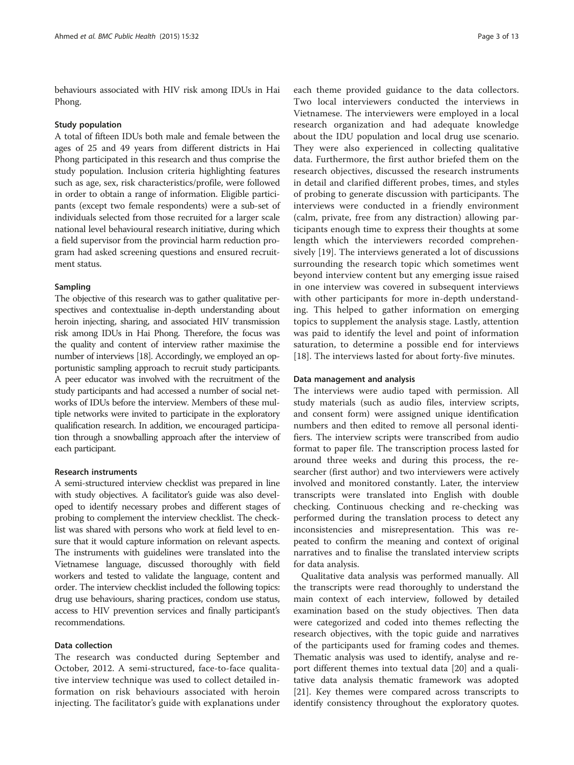behaviours associated with HIV risk among IDUs in Hai Phong.

#### Study population

A total of fifteen IDUs both male and female between the ages of 25 and 49 years from different districts in Hai Phong participated in this research and thus comprise the study population. Inclusion criteria highlighting features such as age, sex, risk characteristics/profile, were followed in order to obtain a range of information. Eligible participants (except two female respondents) were a sub-set of individuals selected from those recruited for a larger scale national level behavioural research initiative, during which a field supervisor from the provincial harm reduction program had asked screening questions and ensured recruitment status.

#### Sampling

The objective of this research was to gather qualitative perspectives and contextualise in-depth understanding about heroin injecting, sharing, and associated HIV transmission risk among IDUs in Hai Phong. Therefore, the focus was the quality and content of interview rather maximise the number of interviews [\[18\]](#page-11-0). Accordingly, we employed an opportunistic sampling approach to recruit study participants. A peer educator was involved with the recruitment of the study participants and had accessed a number of social networks of IDUs before the interview. Members of these multiple networks were invited to participate in the exploratory qualification research. In addition, we encouraged participation through a snowballing approach after the interview of each participant.

# Research instruments

A semi-structured interview checklist was prepared in line with study objectives. A facilitator's guide was also developed to identify necessary probes and different stages of probing to complement the interview checklist. The checklist was shared with persons who work at field level to ensure that it would capture information on relevant aspects. The instruments with guidelines were translated into the Vietnamese language, discussed thoroughly with field workers and tested to validate the language, content and order. The interview checklist included the following topics: drug use behaviours, sharing practices, condom use status, access to HIV prevention services and finally participant's recommendations.

# Data collection

The research was conducted during September and October, 2012. A semi-structured, face-to-face qualitative interview technique was used to collect detailed information on risk behaviours associated with heroin injecting. The facilitator's guide with explanations under

each theme provided guidance to the data collectors. Two local interviewers conducted the interviews in Vietnamese. The interviewers were employed in a local research organization and had adequate knowledge about the IDU population and local drug use scenario. They were also experienced in collecting qualitative data. Furthermore, the first author briefed them on the research objectives, discussed the research instruments in detail and clarified different probes, times, and styles of probing to generate discussion with participants. The interviews were conducted in a friendly environment (calm, private, free from any distraction) allowing participants enough time to express their thoughts at some length which the interviewers recorded comprehensively [[19\]](#page-11-0). The interviews generated a lot of discussions surrounding the research topic which sometimes went beyond interview content but any emerging issue raised in one interview was covered in subsequent interviews with other participants for more in-depth understanding. This helped to gather information on emerging topics to supplement the analysis stage. Lastly, attention was paid to identify the level and point of information saturation, to determine a possible end for interviews [[18\]](#page-11-0). The interviews lasted for about forty-five minutes.

#### Data management and analysis

The interviews were audio taped with permission. All study materials (such as audio files, interview scripts, and consent form) were assigned unique identification numbers and then edited to remove all personal identifiers. The interview scripts were transcribed from audio format to paper file. The transcription process lasted for around three weeks and during this process, the researcher (first author) and two interviewers were actively involved and monitored constantly. Later, the interview transcripts were translated into English with double checking. Continuous checking and re-checking was performed during the translation process to detect any inconsistencies and misrepresentation. This was repeated to confirm the meaning and context of original narratives and to finalise the translated interview scripts for data analysis.

Qualitative data analysis was performed manually. All the transcripts were read thoroughly to understand the main context of each interview, followed by detailed examination based on the study objectives. Then data were categorized and coded into themes reflecting the research objectives, with the topic guide and narratives of the participants used for framing codes and themes. Thematic analysis was used to identify, analyse and report different themes into textual data [[20\]](#page-11-0) and a qualitative data analysis thematic framework was adopted [[21\]](#page-11-0). Key themes were compared across transcripts to identify consistency throughout the exploratory quotes.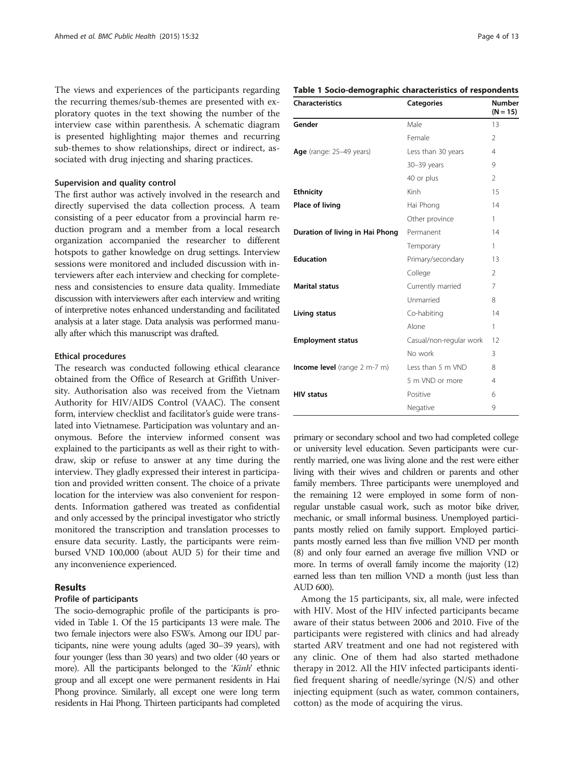<span id="page-3-0"></span>The views and experiences of the participants regarding the recurring themes/sub-themes are presented with exploratory quotes in the text showing the number of the interview case within parenthesis. A schematic diagram is presented highlighting major themes and recurring sub-themes to show relationships, direct or indirect, associated with drug injecting and sharing practices.

#### Supervision and quality control

The first author was actively involved in the research and directly supervised the data collection process. A team consisting of a peer educator from a provincial harm reduction program and a member from a local research organization accompanied the researcher to different hotspots to gather knowledge on drug settings. Interview sessions were monitored and included discussion with interviewers after each interview and checking for completeness and consistencies to ensure data quality. Immediate discussion with interviewers after each interview and writing of interpretive notes enhanced understanding and facilitated analysis at a later stage. Data analysis was performed manually after which this manuscript was drafted.

#### Ethical procedures

The research was conducted following ethical clearance obtained from the Office of Research at Griffith University. Authorisation also was received from the Vietnam Authority for HIV/AIDS Control (VAAC). The consent form, interview checklist and facilitator's guide were translated into Vietnamese. Participation was voluntary and anonymous. Before the interview informed consent was explained to the participants as well as their right to withdraw, skip or refuse to answer at any time during the interview. They gladly expressed their interest in participation and provided written consent. The choice of a private location for the interview was also convenient for respondents. Information gathered was treated as confidential and only accessed by the principal investigator who strictly monitored the transcription and translation processes to ensure data security. Lastly, the participants were reimbursed VND 100,000 (about AUD 5) for their time and any inconvenience experienced.

# Results

#### Profile of participants

The socio-demographic profile of the participants is provided in Table 1. Of the 15 participants 13 were male. The two female injectors were also FSWs. Among our IDU participants, nine were young adults (aged 30–39 years), with four younger (less than 30 years) and two older (40 years or more). All the participants belonged to the 'Kinh' ethnic group and all except one were permanent residents in Hai Phong province. Similarly, all except one were long term residents in Hai Phong. Thirteen participants had completed

# Table 1 Socio-demographic characteristics of respondents

| <b>Characteristics</b>              | <b>Categories</b>       | <b>Number</b><br>$(N = 15)$ |
|-------------------------------------|-------------------------|-----------------------------|
| Gender                              | Male                    | 13                          |
|                                     | Female                  | $\mathfrak{D}$              |
| Age (range: 25-49 years)            | Less than 30 years      | $\overline{4}$              |
|                                     | 30-39 years             | 9                           |
|                                     | 40 or plus              | $\overline{2}$              |
| <b>Ethnicity</b>                    | <b>Kinh</b>             | 15                          |
| Place of living                     | Hai Phong               | 14                          |
|                                     | Other province          | 1                           |
| Duration of living in Hai Phong     | Permanent               | 14                          |
|                                     | Temporary               | $\mathbf{1}$                |
| <b>Education</b>                    | Primary/secondary       | 13                          |
|                                     | College                 | $\mathfrak{D}$              |
| <b>Marital status</b>               | Currently married       | 7                           |
|                                     | Unmarried               | 8                           |
| Living status                       | Co-habiting             | 14                          |
|                                     | Alone                   | 1                           |
| <b>Employment status</b>            | Casual/non-regular work | 12                          |
|                                     | No work                 | 3                           |
| <b>Income level</b> (range 2 m-7 m) | Less than 5 m VND       | 8                           |
|                                     | 5 m VND or more         | $\overline{4}$              |
| <b>HIV status</b>                   | Positive                | 6                           |
|                                     | Negative                | 9                           |

primary or secondary school and two had completed college or university level education. Seven participants were currently married, one was living alone and the rest were either living with their wives and children or parents and other family members. Three participants were unemployed and the remaining 12 were employed in some form of nonregular unstable casual work, such as motor bike driver, mechanic, or small informal business. Unemployed participants mostly relied on family support. Employed participants mostly earned less than five million VND per month (8) and only four earned an average five million VND or more. In terms of overall family income the majority (12) earned less than ten million VND a month (just less than AUD 600).

Among the 15 participants, six, all male, were infected with HIV. Most of the HIV infected participants became aware of their status between 2006 and 2010. Five of the participants were registered with clinics and had already started ARV treatment and one had not registered with any clinic. One of them had also started methadone therapy in 2012. All the HIV infected participants identified frequent sharing of needle/syringe (N/S) and other injecting equipment (such as water, common containers, cotton) as the mode of acquiring the virus.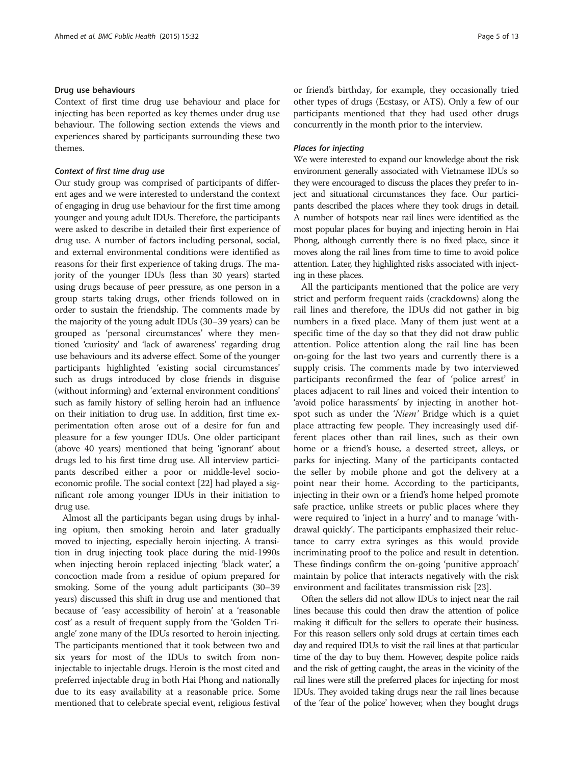#### Drug use behaviours

Context of first time drug use behaviour and place for injecting has been reported as key themes under drug use behaviour. The following section extends the views and experiences shared by participants surrounding these two themes.

#### Context of first time drug use

Our study group was comprised of participants of different ages and we were interested to understand the context of engaging in drug use behaviour for the first time among younger and young adult IDUs. Therefore, the participants were asked to describe in detailed their first experience of drug use. A number of factors including personal, social, and external environmental conditions were identified as reasons for their first experience of taking drugs. The majority of the younger IDUs (less than 30 years) started using drugs because of peer pressure, as one person in a group starts taking drugs, other friends followed on in order to sustain the friendship. The comments made by the majority of the young adult IDUs (30–39 years) can be grouped as 'personal circumstances' where they mentioned 'curiosity' and 'lack of awareness' regarding drug use behaviours and its adverse effect. Some of the younger participants highlighted 'existing social circumstances' such as drugs introduced by close friends in disguise (without informing) and 'external environment conditions' such as family history of selling heroin had an influence on their initiation to drug use. In addition, first time experimentation often arose out of a desire for fun and pleasure for a few younger IDUs. One older participant (above 40 years) mentioned that being 'ignorant' about drugs led to his first time drug use. All interview participants described either a poor or middle-level socioeconomic profile. The social context [\[22\]](#page-11-0) had played a significant role among younger IDUs in their initiation to drug use.

Almost all the participants began using drugs by inhaling opium, then smoking heroin and later gradually moved to injecting, especially heroin injecting. A transition in drug injecting took place during the mid-1990s when injecting heroin replaced injecting 'black water', a concoction made from a residue of opium prepared for smoking. Some of the young adult participants (30–39 years) discussed this shift in drug use and mentioned that because of 'easy accessibility of heroin' at a 'reasonable cost' as a result of frequent supply from the 'Golden Triangle' zone many of the IDUs resorted to heroin injecting. The participants mentioned that it took between two and six years for most of the IDUs to switch from noninjectable to injectable drugs. Heroin is the most cited and preferred injectable drug in both Hai Phong and nationally due to its easy availability at a reasonable price. Some mentioned that to celebrate special event, religious festival or friend's birthday, for example, they occasionally tried other types of drugs (Ecstasy, or ATS). Only a few of our participants mentioned that they had used other drugs concurrently in the month prior to the interview.

#### Places for injecting

We were interested to expand our knowledge about the risk environment generally associated with Vietnamese IDUs so they were encouraged to discuss the places they prefer to inject and situational circumstances they face. Our participants described the places where they took drugs in detail. A number of hotspots near rail lines were identified as the most popular places for buying and injecting heroin in Hai Phong, although currently there is no fixed place, since it moves along the rail lines from time to time to avoid police attention. Later, they highlighted risks associated with injecting in these places.

All the participants mentioned that the police are very strict and perform frequent raids (crackdowns) along the rail lines and therefore, the IDUs did not gather in big numbers in a fixed place. Many of them just went at a specific time of the day so that they did not draw public attention. Police attention along the rail line has been on-going for the last two years and currently there is a supply crisis. The comments made by two interviewed participants reconfirmed the fear of 'police arrest' in places adjacent to rail lines and voiced their intention to 'avoid police harassments' by injecting in another hotspot such as under the 'Niem' Bridge which is a quiet place attracting few people. They increasingly used different places other than rail lines, such as their own home or a friend's house, a deserted street, alleys, or parks for injecting. Many of the participants contacted the seller by mobile phone and got the delivery at a point near their home. According to the participants, injecting in their own or a friend's home helped promote safe practice, unlike streets or public places where they were required to 'inject in a hurry' and to manage 'withdrawal quickly'. The participants emphasized their reluctance to carry extra syringes as this would provide incriminating proof to the police and result in detention. These findings confirm the on-going 'punitive approach' maintain by police that interacts negatively with the risk environment and facilitates transmission risk [[23\]](#page-11-0).

Often the sellers did not allow IDUs to inject near the rail lines because this could then draw the attention of police making it difficult for the sellers to operate their business. For this reason sellers only sold drugs at certain times each day and required IDUs to visit the rail lines at that particular time of the day to buy them. However, despite police raids and the risk of getting caught, the areas in the vicinity of the rail lines were still the preferred places for injecting for most IDUs. They avoided taking drugs near the rail lines because of the 'fear of the police' however, when they bought drugs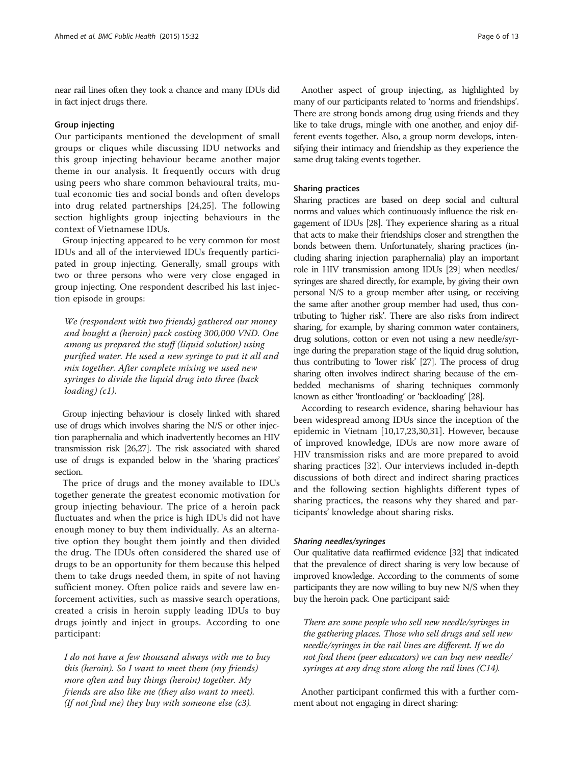near rail lines often they took a chance and many IDUs did in fact inject drugs there.

#### Group injecting

Our participants mentioned the development of small groups or cliques while discussing IDU networks and this group injecting behaviour became another major theme in our analysis. It frequently occurs with drug using peers who share common behavioural traits, mutual economic ties and social bonds and often develops into drug related partnerships [\[24](#page-11-0),[25\]](#page-11-0). The following section highlights group injecting behaviours in the context of Vietnamese IDUs.

Group injecting appeared to be very common for most IDUs and all of the interviewed IDUs frequently participated in group injecting. Generally, small groups with two or three persons who were very close engaged in group injecting. One respondent described his last injection episode in groups:

We (respondent with two friends) gathered our money and bought a (heroin) pack costing 300,000 VND. One among us prepared the stuff (liquid solution) using purified water. He used a new syringe to put it all and mix together. After complete mixing we used new syringes to divide the liquid drug into three (back loading) (c1).

Group injecting behaviour is closely linked with shared use of drugs which involves sharing the N/S or other injection paraphernalia and which inadvertently becomes an HIV transmission risk [[26,27](#page-11-0)]. The risk associated with shared use of drugs is expanded below in the 'sharing practices' section.

The price of drugs and the money available to IDUs together generate the greatest economic motivation for group injecting behaviour. The price of a heroin pack fluctuates and when the price is high IDUs did not have enough money to buy them individually. As an alternative option they bought them jointly and then divided the drug. The IDUs often considered the shared use of drugs to be an opportunity for them because this helped them to take drugs needed them, in spite of not having sufficient money. Often police raids and severe law enforcement activities, such as massive search operations, created a crisis in heroin supply leading IDUs to buy drugs jointly and inject in groups. According to one participant:

I do not have a few thousand always with me to buy this (heroin). So I want to meet them (my friends) more often and buy things (heroin) together. My friends are also like me (they also want to meet). (If not find me) they buy with someone else  $(c3)$ .

Another aspect of group injecting, as highlighted by many of our participants related to 'norms and friendships'. There are strong bonds among drug using friends and they like to take drugs, mingle with one another, and enjoy different events together. Also, a group norm develops, intensifying their intimacy and friendship as they experience the same drug taking events together.

# Sharing practices

Sharing practices are based on deep social and cultural norms and values which continuously influence the risk engagement of IDUs [\[28](#page-11-0)]. They experience sharing as a ritual that acts to make their friendships closer and strengthen the bonds between them. Unfortunately, sharing practices (including sharing injection paraphernalia) play an important role in HIV transmission among IDUs [[29\]](#page-11-0) when needles/ syringes are shared directly, for example, by giving their own personal N/S to a group member after using, or receiving the same after another group member had used, thus contributing to 'higher risk'. There are also risks from indirect sharing, for example, by sharing common water containers, drug solutions, cotton or even not using a new needle/syringe during the preparation stage of the liquid drug solution, thus contributing to 'lower risk' [[27\]](#page-11-0). The process of drug sharing often involves indirect sharing because of the embedded mechanisms of sharing techniques commonly known as either 'frontloading' or 'backloading' [\[28](#page-11-0)].

According to research evidence, sharing behaviour has been widespread among IDUs since the inception of the epidemic in Vietnam [\[10,17,23,30,31](#page-11-0)]. However, because of improved knowledge, IDUs are now more aware of HIV transmission risks and are more prepared to avoid sharing practices [[32\]](#page-11-0). Our interviews included in-depth discussions of both direct and indirect sharing practices and the following section highlights different types of sharing practices, the reasons why they shared and participants' knowledge about sharing risks.

#### Sharing needles/syringes

Our qualitative data reaffirmed evidence [\[32\]](#page-11-0) that indicated that the prevalence of direct sharing is very low because of improved knowledge. According to the comments of some participants they are now willing to buy new N/S when they buy the heroin pack. One participant said:

There are some people who sell new needle/syringes in the gathering places. Those who sell drugs and sell new needle/syringes in the rail lines are different. If we do not find them (peer educators) we can buy new needle/ syringes at any drug store along the rail lines (C14).

Another participant confirmed this with a further comment about not engaging in direct sharing: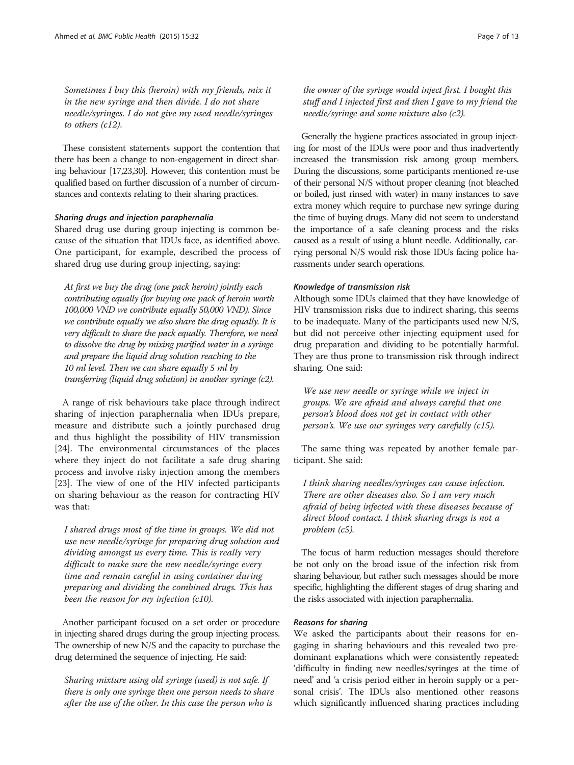Sometimes I buy this (heroin) with my friends, mix it in the new syringe and then divide. I do not share needle/syringes. I do not give my used needle/syringes to others (c12).

These consistent statements support the contention that there has been a change to non-engagement in direct sharing behaviour [[17,23,30](#page-11-0)]. However, this contention must be qualified based on further discussion of a number of circumstances and contexts relating to their sharing practices.

#### Sharing drugs and injection paraphernalia

Shared drug use during group injecting is common because of the situation that IDUs face, as identified above. One participant, for example, described the process of shared drug use during group injecting, saying:

At first we buy the drug (one pack heroin) jointly each contributing equally (for buying one pack of heroin worth 100,000 VND we contribute equally 50,000 VND). Since we contribute equally we also share the drug equally. It is very difficult to share the pack equally. Therefore, we need to dissolve the drug by mixing purified water in a syringe and prepare the liquid drug solution reaching to the 10 ml level. Then we can share equally 5 ml by transferring (liquid drug solution) in another syringe (c2).

A range of risk behaviours take place through indirect sharing of injection paraphernalia when IDUs prepare, measure and distribute such a jointly purchased drug and thus highlight the possibility of HIV transmission [[24\]](#page-11-0). The environmental circumstances of the places where they inject do not facilitate a safe drug sharing process and involve risky injection among the members [[23\]](#page-11-0). The view of one of the HIV infected participants on sharing behaviour as the reason for contracting HIV was that:

I shared drugs most of the time in groups. We did not use new needle/syringe for preparing drug solution and dividing amongst us every time. This is really very difficult to make sure the new needle/syringe every time and remain careful in using container during preparing and dividing the combined drugs. This has been the reason for my infection (c10).

Another participant focused on a set order or procedure in injecting shared drugs during the group injecting process. The ownership of new N/S and the capacity to purchase the drug determined the sequence of injecting. He said:

Sharing mixture using old syringe (used) is not safe. If there is only one syringe then one person needs to share after the use of the other. In this case the person who is

the owner of the syringe would inject first. I bought this stuff and I injected first and then I gave to my friend the needle/syringe and some mixture also (c2).

Generally the hygiene practices associated in group injecting for most of the IDUs were poor and thus inadvertently increased the transmission risk among group members. During the discussions, some participants mentioned re-use of their personal N/S without proper cleaning (not bleached or boiled, just rinsed with water) in many instances to save extra money which require to purchase new syringe during the time of buying drugs. Many did not seem to understand the importance of a safe cleaning process and the risks caused as a result of using a blunt needle. Additionally, carrying personal N/S would risk those IDUs facing police harassments under search operations.

#### Knowledge of transmission risk

Although some IDUs claimed that they have knowledge of HIV transmission risks due to indirect sharing, this seems to be inadequate. Many of the participants used new N/S, but did not perceive other injecting equipment used for drug preparation and dividing to be potentially harmful. They are thus prone to transmission risk through indirect sharing. One said:

We use new needle or syringe while we inject in groups. We are afraid and always careful that one person's blood does not get in contact with other person's. We use our syringes very carefully (c15).

The same thing was repeated by another female participant. She said:

I think sharing needles/syringes can cause infection. There are other diseases also. So I am very much afraid of being infected with these diseases because of direct blood contact. I think sharing drugs is not a problem (c5).

The focus of harm reduction messages should therefore be not only on the broad issue of the infection risk from sharing behaviour, but rather such messages should be more specific, highlighting the different stages of drug sharing and the risks associated with injection paraphernalia.

# Reasons for sharing

We asked the participants about their reasons for engaging in sharing behaviours and this revealed two predominant explanations which were consistently repeated: 'difficulty in finding new needles/syringes at the time of need' and 'a crisis period either in heroin supply or a personal crisis'. The IDUs also mentioned other reasons which significantly influenced sharing practices including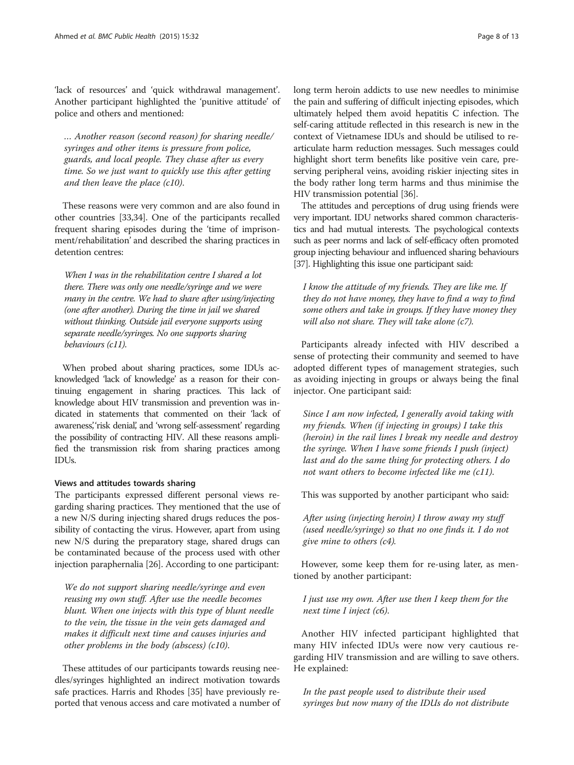'lack of resources' and 'quick withdrawal management'. Another participant highlighted the 'punitive attitude' of police and others and mentioned:

… Another reason (second reason) for sharing needle/ syringes and other items is pressure from police, guards, and local people. They chase after us every time. So we just want to quickly use this after getting and then leave the place (c10).

These reasons were very common and are also found in other countries [[33,34](#page-11-0)]. One of the participants recalled frequent sharing episodes during the 'time of imprisonment/rehabilitation' and described the sharing practices in detention centres:

When I was in the rehabilitation centre I shared a lot there. There was only one needle/syringe and we were many in the centre. We had to share after using/injecting (one after another). During the time in jail we shared without thinking. Outside jail everyone supports using separate needle/syringes. No one supports sharing behaviours (c11).

When probed about sharing practices, some IDUs acknowledged 'lack of knowledge' as a reason for their continuing engagement in sharing practices. This lack of knowledge about HIV transmission and prevention was indicated in statements that commented on their 'lack of awareness, 'risk denial,' and 'wrong self-assessment' regarding the possibility of contracting HIV. All these reasons amplified the transmission risk from sharing practices among IDI Is

#### Views and attitudes towards sharing

The participants expressed different personal views regarding sharing practices. They mentioned that the use of a new N/S during injecting shared drugs reduces the possibility of contacting the virus. However, apart from using new N/S during the preparatory stage, shared drugs can be contaminated because of the process used with other injection paraphernalia [\[26\]](#page-11-0). According to one participant:

We do not support sharing needle/syringe and even reusing my own stuff. After use the needle becomes blunt. When one injects with this type of blunt needle to the vein, the tissue in the vein gets damaged and makes it difficult next time and causes injuries and other problems in the body (abscess) (c10).

These attitudes of our participants towards reusing needles/syringes highlighted an indirect motivation towards safe practices. Harris and Rhodes [[35](#page-11-0)] have previously reported that venous access and care motivated a number of long term heroin addicts to use new needles to minimise the pain and suffering of difficult injecting episodes, which ultimately helped them avoid hepatitis C infection. The self-caring attitude reflected in this research is new in the context of Vietnamese IDUs and should be utilised to rearticulate harm reduction messages. Such messages could highlight short term benefits like positive vein care, preserving peripheral veins, avoiding riskier injecting sites in the body rather long term harms and thus minimise the HIV transmission potential [\[36\]](#page-11-0).

The attitudes and perceptions of drug using friends were very important. IDU networks shared common characteristics and had mutual interests. The psychological contexts such as peer norms and lack of self-efficacy often promoted group injecting behaviour and influenced sharing behaviours [[37\]](#page-11-0). Highlighting this issue one participant said:

I know the attitude of my friends. They are like me. If they do not have money, they have to find a way to find some others and take in groups. If they have money they will also not share. They will take alone (c7).

Participants already infected with HIV described a sense of protecting their community and seemed to have adopted different types of management strategies, such as avoiding injecting in groups or always being the final injector. One participant said:

Since I am now infected, I generally avoid taking with my friends. When (if injecting in groups) I take this (heroin) in the rail lines I break my needle and destroy the syringe. When I have some friends I push (inject) last and do the same thing for protecting others. I do not want others to become infected like me (c11).

This was supported by another participant who said:

After using (injecting heroin) I throw away my stuff (used needle/syringe) so that no one finds it. I do not give mine to others (c4).

However, some keep them for re-using later, as mentioned by another participant:

I just use my own. After use then I keep them for the next time I inject (c6).

Another HIV infected participant highlighted that many HIV infected IDUs were now very cautious regarding HIV transmission and are willing to save others. He explained:

In the past people used to distribute their used syringes but now many of the IDUs do not distribute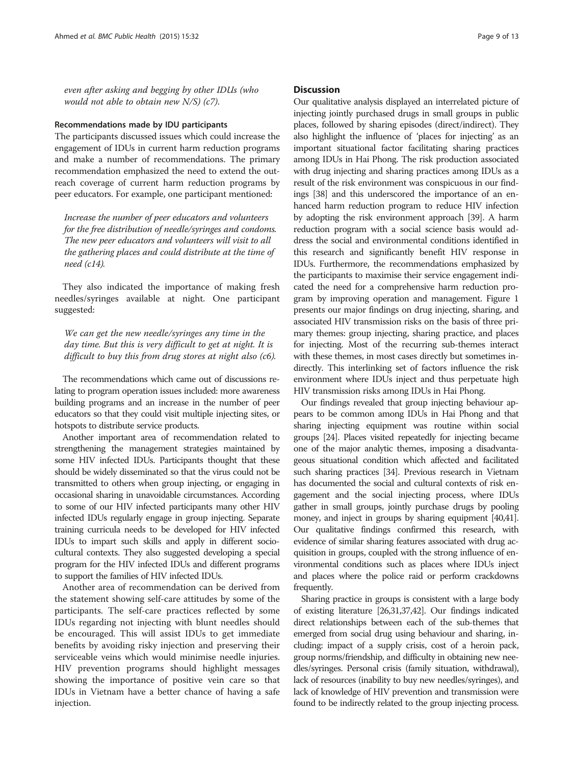even after asking and begging by other IDUs (who would not able to obtain new  $N/S$ ) (c7).

#### Recommendations made by IDU participants

The participants discussed issues which could increase the engagement of IDUs in current harm reduction programs and make a number of recommendations. The primary recommendation emphasized the need to extend the outreach coverage of current harm reduction programs by peer educators. For example, one participant mentioned:

Increase the number of peer educators and volunteers for the free distribution of needle/syringes and condoms. The new peer educators and volunteers will visit to all the gathering places and could distribute at the time of need (c14).

They also indicated the importance of making fresh needles/syringes available at night. One participant suggested:

We can get the new needle/syringes any time in the day time. But this is very difficult to get at night. It is difficult to buy this from drug stores at night also (c6).

The recommendations which came out of discussions relating to program operation issues included: more awareness building programs and an increase in the number of peer educators so that they could visit multiple injecting sites, or hotspots to distribute service products.

Another important area of recommendation related to strengthening the management strategies maintained by some HIV infected IDUs. Participants thought that these should be widely disseminated so that the virus could not be transmitted to others when group injecting, or engaging in occasional sharing in unavoidable circumstances. According to some of our HIV infected participants many other HIV infected IDUs regularly engage in group injecting. Separate training curricula needs to be developed for HIV infected IDUs to impart such skills and apply in different sociocultural contexts. They also suggested developing a special program for the HIV infected IDUs and different programs to support the families of HIV infected IDUs.

Another area of recommendation can be derived from the statement showing self-care attitudes by some of the participants. The self-care practices reflected by some IDUs regarding not injecting with blunt needles should be encouraged. This will assist IDUs to get immediate benefits by avoiding risky injection and preserving their serviceable veins which would minimise needle injuries. HIV prevention programs should highlight messages showing the importance of positive vein care so that IDUs in Vietnam have a better chance of having a safe injection.

# **Discussion**

Our qualitative analysis displayed an interrelated picture of injecting jointly purchased drugs in small groups in public places, followed by sharing episodes (direct/indirect). They also highlight the influence of 'places for injecting' as an important situational factor facilitating sharing practices among IDUs in Hai Phong. The risk production associated with drug injecting and sharing practices among IDUs as a result of the risk environment was conspicuous in our findings [[38](#page-11-0)] and this underscored the importance of an enhanced harm reduction program to reduce HIV infection by adopting the risk environment approach [\[39\]](#page-11-0). A harm reduction program with a social science basis would address the social and environmental conditions identified in this research and significantly benefit HIV response in IDUs. Furthermore, the recommendations emphasized by the participants to maximise their service engagement indicated the need for a comprehensive harm reduction program by improving operation and management. Figure [1](#page-9-0) presents our major findings on drug injecting, sharing, and associated HIV transmission risks on the basis of three primary themes: group injecting, sharing practice, and places for injecting. Most of the recurring sub-themes interact with these themes, in most cases directly but sometimes indirectly. This interlinking set of factors influence the risk environment where IDUs inject and thus perpetuate high HIV transmission risks among IDUs in Hai Phong.

Our findings revealed that group injecting behaviour appears to be common among IDUs in Hai Phong and that sharing injecting equipment was routine within social groups [\[24\]](#page-11-0). Places visited repeatedly for injecting became one of the major analytic themes, imposing a disadvantageous situational condition which affected and facilitated such sharing practices [[34\]](#page-11-0). Previous research in Vietnam has documented the social and cultural contexts of risk engagement and the social injecting process, where IDUs gather in small groups, jointly purchase drugs by pooling money, and inject in groups by sharing equipment [\[40,41\]](#page-11-0). Our qualitative findings confirmed this research, with evidence of similar sharing features associated with drug acquisition in groups, coupled with the strong influence of environmental conditions such as places where IDUs inject and places where the police raid or perform crackdowns frequently.

Sharing practice in groups is consistent with a large body of existing literature [\[26,31,37,42](#page-11-0)]. Our findings indicated direct relationships between each of the sub-themes that emerged from social drug using behaviour and sharing, including: impact of a supply crisis, cost of a heroin pack, group norms/friendship, and difficulty in obtaining new needles/syringes. Personal crisis (family situation, withdrawal), lack of resources (inability to buy new needles/syringes), and lack of knowledge of HIV prevention and transmission were found to be indirectly related to the group injecting process.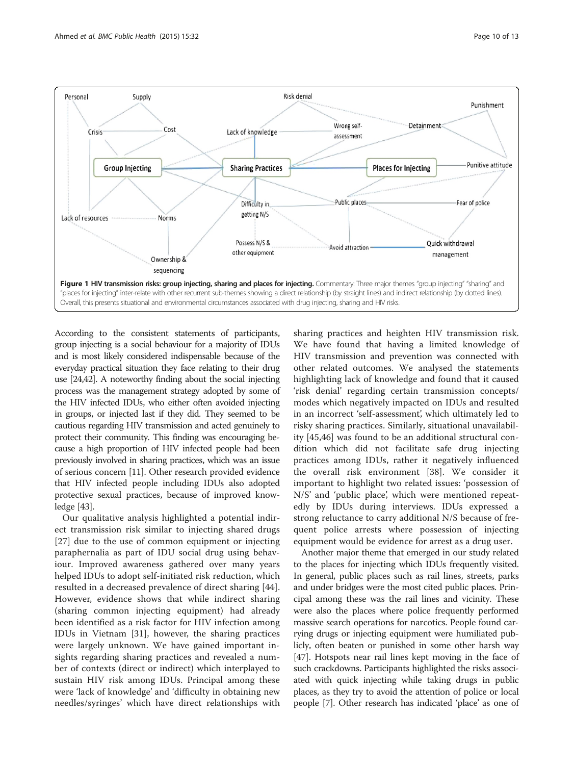<span id="page-9-0"></span>

According to the consistent statements of participants, group injecting is a social behaviour for a majority of IDUs and is most likely considered indispensable because of the everyday practical situation they face relating to their drug use [[24,42](#page-11-0)]. A noteworthy finding about the social injecting process was the management strategy adopted by some of the HIV infected IDUs, who either often avoided injecting in groups, or injected last if they did. They seemed to be cautious regarding HIV transmission and acted genuinely to protect their community. This finding was encouraging because a high proportion of HIV infected people had been previously involved in sharing practices, which was an issue of serious concern [[11](#page-11-0)]. Other research provided evidence that HIV infected people including IDUs also adopted protective sexual practices, because of improved knowledge [\[43\]](#page-11-0).

Our qualitative analysis highlighted a potential indirect transmission risk similar to injecting shared drugs [[27\]](#page-11-0) due to the use of common equipment or injecting paraphernalia as part of IDU social drug using behaviour. Improved awareness gathered over many years helped IDUs to adopt self-initiated risk reduction, which resulted in a decreased prevalence of direct sharing [\[44](#page-11-0)]. However, evidence shows that while indirect sharing (sharing common injecting equipment) had already been identified as a risk factor for HIV infection among IDUs in Vietnam [\[31](#page-11-0)], however, the sharing practices were largely unknown. We have gained important insights regarding sharing practices and revealed a number of contexts (direct or indirect) which interplayed to sustain HIV risk among IDUs. Principal among these were 'lack of knowledge' and 'difficulty in obtaining new needles/syringes' which have direct relationships with

sharing practices and heighten HIV transmission risk. We have found that having a limited knowledge of HIV transmission and prevention was connected with other related outcomes. We analysed the statements highlighting lack of knowledge and found that it caused 'risk denial' regarding certain transmission concepts/ modes which negatively impacted on IDUs and resulted in an incorrect 'self-assessment', which ultimately led to risky sharing practices. Similarly, situational unavailability [\[45](#page-11-0),[46\]](#page-11-0) was found to be an additional structural condition which did not facilitate safe drug injecting practices among IDUs, rather it negatively influenced the overall risk environment [[38\]](#page-11-0). We consider it important to highlight two related issues: 'possession of N/S' and 'public place', which were mentioned repeatedly by IDUs during interviews. IDUs expressed a strong reluctance to carry additional N/S because of frequent police arrests where possession of injecting equipment would be evidence for arrest as a drug user.

Another major theme that emerged in our study related to the places for injecting which IDUs frequently visited. In general, public places such as rail lines, streets, parks and under bridges were the most cited public places. Principal among these was the rail lines and vicinity. These were also the places where police frequently performed massive search operations for narcotics. People found carrying drugs or injecting equipment were humiliated publicly, often beaten or punished in some other harsh way [[47](#page-11-0)]. Hotspots near rail lines kept moving in the face of such crackdowns. Participants highlighted the risks associated with quick injecting while taking drugs in public places, as they try to avoid the attention of police or local people [[7\]](#page-11-0). Other research has indicated 'place' as one of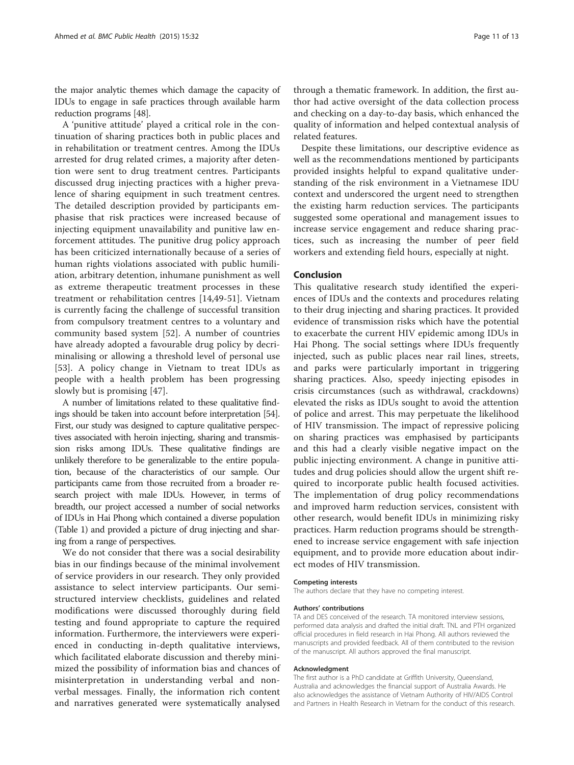the major analytic themes which damage the capacity of IDUs to engage in safe practices through available harm reduction programs [[48](#page-12-0)].

A 'punitive attitude' played a critical role in the continuation of sharing practices both in public places and in rehabilitation or treatment centres. Among the IDUs arrested for drug related crimes, a majority after detention were sent to drug treatment centres. Participants discussed drug injecting practices with a higher prevalence of sharing equipment in such treatment centres. The detailed description provided by participants emphasise that risk practices were increased because of injecting equipment unavailability and punitive law enforcement attitudes. The punitive drug policy approach has been criticized internationally because of a series of human rights violations associated with public humiliation, arbitrary detention, inhumane punishment as well as extreme therapeutic treatment processes in these treatment or rehabilitation centres [[14](#page-11-0)[,49](#page-12-0)-[51\]](#page-12-0). Vietnam is currently facing the challenge of successful transition from compulsory treatment centres to a voluntary and community based system [[52\]](#page-12-0). A number of countries have already adopted a favourable drug policy by decriminalising or allowing a threshold level of personal use [[53\]](#page-12-0). A policy change in Vietnam to treat IDUs as people with a health problem has been progressing slowly but is promising [[47\]](#page-11-0).

A number of limitations related to these qualitative findings should be taken into account before interpretation [\[54](#page-12-0)]. First, our study was designed to capture qualitative perspectives associated with heroin injecting, sharing and transmission risks among IDUs. These qualitative findings are unlikely therefore to be generalizable to the entire population, because of the characteristics of our sample. Our participants came from those recruited from a broader research project with male IDUs. However, in terms of breadth, our project accessed a number of social networks of IDUs in Hai Phong which contained a diverse population (Table [1](#page-3-0)) and provided a picture of drug injecting and sharing from a range of perspectives.

We do not consider that there was a social desirability bias in our findings because of the minimal involvement of service providers in our research. They only provided assistance to select interview participants. Our semistructured interview checklists, guidelines and related modifications were discussed thoroughly during field testing and found appropriate to capture the required information. Furthermore, the interviewers were experienced in conducting in-depth qualitative interviews, which facilitated elaborate discussion and thereby minimized the possibility of information bias and chances of misinterpretation in understanding verbal and nonverbal messages. Finally, the information rich content and narratives generated were systematically analysed

through a thematic framework. In addition, the first author had active oversight of the data collection process and checking on a day-to-day basis, which enhanced the quality of information and helped contextual analysis of related features.

Despite these limitations, our descriptive evidence as well as the recommendations mentioned by participants provided insights helpful to expand qualitative understanding of the risk environment in a Vietnamese IDU context and underscored the urgent need to strengthen the existing harm reduction services. The participants suggested some operational and management issues to increase service engagement and reduce sharing practices, such as increasing the number of peer field workers and extending field hours, especially at night.

# Conclusion

This qualitative research study identified the experiences of IDUs and the contexts and procedures relating to their drug injecting and sharing practices. It provided evidence of transmission risks which have the potential to exacerbate the current HIV epidemic among IDUs in Hai Phong. The social settings where IDUs frequently injected, such as public places near rail lines, streets, and parks were particularly important in triggering sharing practices. Also, speedy injecting episodes in crisis circumstances (such as withdrawal, crackdowns) elevated the risks as IDUs sought to avoid the attention of police and arrest. This may perpetuate the likelihood of HIV transmission. The impact of repressive policing on sharing practices was emphasised by participants and this had a clearly visible negative impact on the public injecting environment. A change in punitive attitudes and drug policies should allow the urgent shift required to incorporate public health focused activities. The implementation of drug policy recommendations and improved harm reduction services, consistent with other research, would benefit IDUs in minimizing risky practices. Harm reduction programs should be strengthened to increase service engagement with safe injection equipment, and to provide more education about indirect modes of HIV transmission.

#### Competing interests

The authors declare that they have no competing interest.

#### Authors' contributions

TA and DES conceived of the research. TA monitored interview sessions, performed data analysis and drafted the initial draft. TNL and PTH organized official procedures in field research in Hai Phong. All authors reviewed the manuscripts and provided feedback. All of them contributed to the revision of the manuscript. All authors approved the final manuscript.

#### Acknowledgment

The first author is a PhD candidate at Griffith University, Queensland, Australia and acknowledges the financial support of Australia Awards. He also acknowledges the assistance of Vietnam Authority of HIV/AIDS Control and Partners in Health Research in Vietnam for the conduct of this research.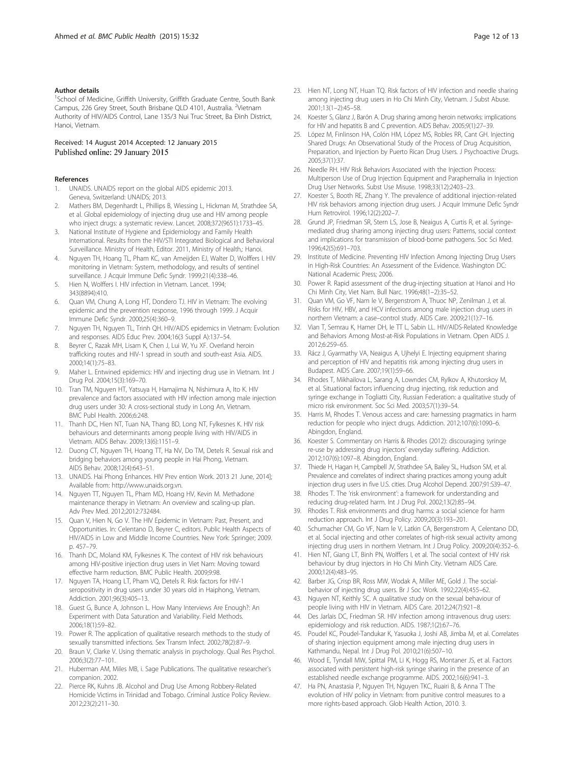#### <span id="page-11-0"></span>Author details

<sup>1</sup>School of Medicine, Griffith University, Griffith Graduate Centre, South Bank Campus, 226 Grey Street, South Brisbane QLD 4101, Australia. <sup>2</sup>Vietnam Authority of HIV/AIDS Control, Lane 135/3 Nui Truc Street, Ba Đinh District, Hanoi, Vietnam.

#### Received: 14 August 2014 Accepted: 12 January 2015 Published online: 29 January 2015

#### References

- UNAIDS. UNAIDS report on the global AIDS epidemic 2013. Geneva, Switzerland: UNAIDS; 2013.
- 2. Mathers BM, Degenhardt L, Phillips B, Wiessing L, Hickman M, Strathdee SA, et al. Global epidemiology of injecting drug use and HIV among people who inject drugs: a systematic review. Lancet. 2008;372(9651):1733–45.
- National Institute of Hygiene and Epidemiology and Family Health International. Results from the HIV/STI Integrated Biological and Behavioral Surveillance. Ministry of Health, Editor. 2011, Ministry of Health,: Hanoi.
- 4. Nguyen TH, Hoang TL, Pham KC, van Ameijden EJ, Walter D, Wolffers I. HIV monitoring in Vietnam: System, methodology, and results of sentinel surveillance. J Acquir Immune Defic Syndr. 1999;21(4):338–46.
- 5. Hien N, Wolffers I. HIV infection in Vietnam. Lancet. 1994; 343(8894):410.
- 6. Quan VM, Chung A, Long HT, Dondero TJ. HIV in Vietnam: The evolving epidemic and the prevention response, 1996 through 1999. J Acquir Immune Defic Syndr. 2000;25(4):360–9.
- 7. Nguyen TH, Nguyen TL, Trinh QH. HIV/AIDS epidemics in Vietnam: Evolution and responses. AIDS Educ Prev. 2004;16(3 Suppl A):137–54.
- 8. Beyrer C, Razak MH, Lisam K, Chen J, Lui W, Yu XF. Overland heroin trafficking routes and HIV-1 spread in south and south-east Asia. AIDS. 2000;14(1):75–83.
- Maher L. Entwined epidemics: HIV and injecting drug use in Vietnam. Int J Drug Pol. 2004;15(3):169–70.
- 10. Tran TM, Nguyen HT, Yatsuya H, Hamajima N, Nishimura A, Ito K. HIV prevalence and factors associated with HIV infection among male injection drug users under 30: A cross-sectional study in Long An, Vietnam. BMC Publ Health. 2006;6:248.
- 11. Thanh DC, Hien NT, Tuan NA, Thang BD, Long NT, Fylkesnes K. HIV risk behaviours and determinants among people living with HIV/AIDS in Vietnam. AIDS Behav. 2009;13(6):1151–9.
- 12. Duong CT, Nguyen TH, Hoang TT, Ha NV, Do TM, Detels R. Sexual risk and bridging behaviors among young people in Hai Phong, Vietnam. AIDS Behav. 2008;12(4):643–51.
- 13. UNAIDS. Hai Phong Enhances. HIV Prev ention Work. 2013 21 June, 2014]; Available from:<http://www.unaids.org.vn>.
- 14. Nguyen TT, Nguyen TL, Pham MD, Hoang HV, Kevin M. Methadone maintenance therapy in Vietnam: An overview and scaling-up plan. Adv Prev Med. 2012;2012:732484.
- 15. Quan V, Hien N, Go V. The HIV Epidemic in Vietnam: Past, Present, and Opportunities. In: Celentano D, Beyrer C, editors. Public Health Aspects of HIV/AIDS in Low and Middle Income Countries. New York: Springer; 2009. p. 457–79.
- 16. Thanh DC, Moland KM, Fylkesnes K. The context of HIV risk behaviours among HIV-positive injection drug users in Viet Nam: Moving toward effective harm reduction. BMC Public Health. 2009;9:98.
- 17. Nguyen TA, Hoang LT, Pham VQ, Detels R. Risk factors for HIV-1 seropositivity in drug users under 30 years old in Haiphong, Vietnam. Addiction. 2001;96(3):405–13.
- 18. Guest G, Bunce A, Johnson L. How Many Interviews Are Enough?: An Experiment with Data Saturation and Variability. Field Methods. 2006;18(1):59–82.
- 19. Power R. The application of qualitative research methods to the study of sexually transmitted infections. Sex Transm Infect. 2002;78(2):87–9.
- 20. Braun V, Clarke V. Using thematic analysis in psychology. Qual Res Psychol. 2006;3(2):77–101.
- 21. Huberman AM, Miles MB, i. Sage Publications. The qualitative researcher's companion. 2002.
- 22. Pierce RK, Kuhns JB. Alcohol and Drug Use Among Robbery-Related Homicide Victims in Trinidad and Tobago. Criminal Justice Policy Review. 2012;23(2):211–30.
- 23. Hien NT, Long NT, Huan TQ. Risk factors of HIV infection and needle sharing among injecting drug users in Ho Chi Minh City, Vietnam. J Subst Abuse. 2001;13(1–2):45–58.
- 24. Koester S, Glanz J, Barón A. Drug sharing among heroin networks: implications for HIV and hepatitis B and C prevention. AIDS Behav. 2005;9(1):27–39.
- 25. López M, Finlinson HA, Colón HM, López MS, Robles RR, Cant GH. Injecting Shared Drugs: An Observational Study of the Process of Drug Acquisition, Preparation, and Injection by Puerto Rican Drug Users. J Psychoactive Drugs. 2005;37(1):37.
- 26. Needle RH. HIV Risk Behaviors Associated with the Injection Process: Multiperson Use of Drug Injection Equipment and Paraphernalia in Injection Drug User Networks. Subst Use Misuse. 1998;33(12):2403–23.
- 27. Koester S, Booth RE, Zhang Y. The prevalence of additional injection-related HIV risk behaviors among injection drug users. J Acquir Immune Defic Syndr Hum Retrovirol. 1996;12(2):202–7.
- 28. Grund JP, Friedman SR, Stern LS, Jose B, Neaigus A, Curtis R, et al. Syringemediated drug sharing among injecting drug users: Patterns, social context and implications for transmission of blood-borne pathogens. Soc Sci Med. 1996;42(5):691–703.
- 29. Institute of Medicine. Preventing HIV Infection Among Injecting Drug Users in High-Risk Countries: An Assessment of the Evidence. Washington DC: National Academic Press; 2006.
- 30. Power R. Rapid assessment of the drug-injecting situation at Hanoi and Ho Chi Minh City, Viet Nam. Bull Narc. 1996;48(1–2):35–52.
- 31. Quan VM, Go VF, Nam le V, Bergenstrom A, Thuoc NP, Zenilman J, et al. Risks for HIV, HBV, and HCV infections among male injection drug users in northern Vietnam: a case–control study. AIDS Care. 2009;21(1):7–16.
- 32. Vian T, Semrau K, Hamer DH, le TT L, Sabin LL. HIV/AIDS-Related Knowledge and Behaviors Among Most-at-Risk Populations in Vietnam. Open AIDS J. 2012;6:259–65.
- 33. Rácz J, Gyarmathy VA, Neaigus A, Ujhelyi E. Injecting equipment sharing and perception of HIV and hepatitis risk among injecting drug users in Budapest. AIDS Care. 2007;19(1):59–66.
- 34. Rhodes T, Mikhailova L, Sarang A, Lowndes CM, Rylkov A, Khutorskoy M, et al. Situational factors influencing drug injecting, risk reduction and syringe exchange in Togliatti City, Russian Federation: a qualitative study of micro risk environment. Soc Sci Med. 2003;57(1):39–54.
- 35. Harris M, Rhodes T. Venous access and care: harnessing pragmatics in harm reduction for people who inject drugs. Addiction. 2012;107(6):1090–6. Abingdon, England.
- 36. Koester S. Commentary on Harris & Rhodes (2012): discouraging syringe re-use by addressing drug injectors' everyday suffering. Addiction. 2012;107(6):1097–8. Abingdon, England.
- 37. Thiede H, Hagan H, Campbell JV, Strathdee SA, Bailey SL, Hudson SM, et al. Prevalence and correlates of indirect sharing practices among young adult injection drug users in five U.S. cities. Drug Alcohol Depend. 2007;91:S39–47.
- 38. Rhodes T. The 'risk environment': a framework for understanding and reducing drug-related harm. Int J Drug Pol. 2002;13(2):85–94.
- 39. Rhodes T. Risk environments and drug harms: a social science for harm reduction approach. Int J Drug Policy. 2009;20(3):193–201.
- 40. Schumacher CM, Go VF, Nam le V, Latkin CA, Bergenstrom A, Celentano DD, et al. Social injecting and other correlates of high-risk sexual activity among injecting drug users in northern Vietnam. Int J Drug Policy. 2009;20(4):352–6.
- 41. Hien NT, Giang LT, Binh PN, Wolffers I, et al. The social context of HIV risk behaviour by drug injectors in Ho Chi Minh City. Vietnam AIDS Care. 2000;12(4):483–95.
- 42. Barber JG, Crisp BR, Ross MW, Wodak A, Miller ME, Gold J. The socialbehavior of injecting drug users. Br J Soc Work. 1992;22(4):455–62.
- 43. Nguyen NT, Keithly SC. A qualitative study on the sexual behaviour of people living with HIV in Vietnam. AIDS Care. 2012;24(7):921–8.
- 44. Des Jarlais DC, Friedman SR. HIV infection among intravenous drug users: epidemiology and risk reduction. AIDS. 1987;1(2):67–76.
- 45. Poudel KC, Poudel-Tandukar K, Yasuoka J, Joshi AB, Jimba M, et al. Correlates of sharing injection equipment among male injecting drug users in Kathmandu, Nepal. Int J Drug Pol. 2010;21(6):507–10.
- 46. Wood E, Tyndall MW, Spittal PM, Li K, Hogg RS, Montaner JS, et al. Factors associated with persistent high-risk syringe sharing in the presence of an established needle exchange programme. AIDS. 2002;16(6):941–3.
- 47. Ha PN, Anastasia P, Nguyen TH, Nguyen TKC, Ruairi B, & Anna T The evolution of HIV policy in Vietnam: from punitive control measures to a more rights-based approach. Glob Health Action, 2010. 3.